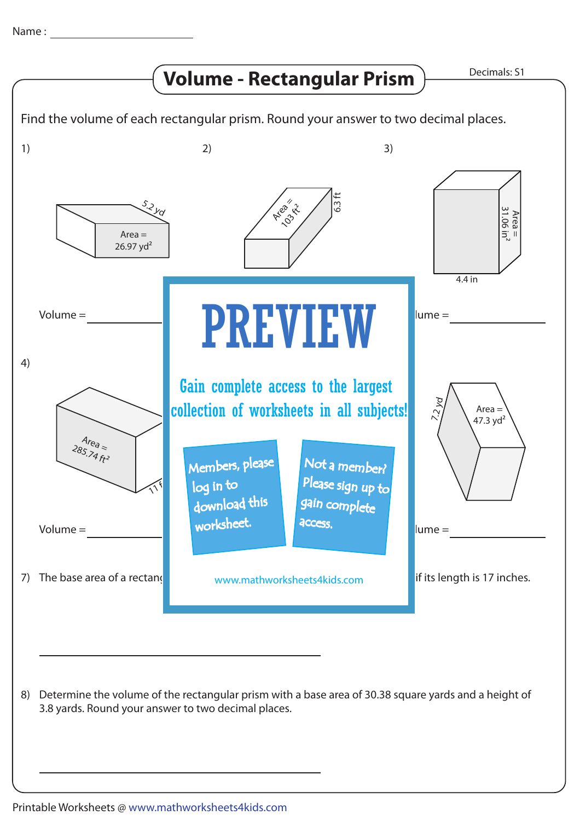